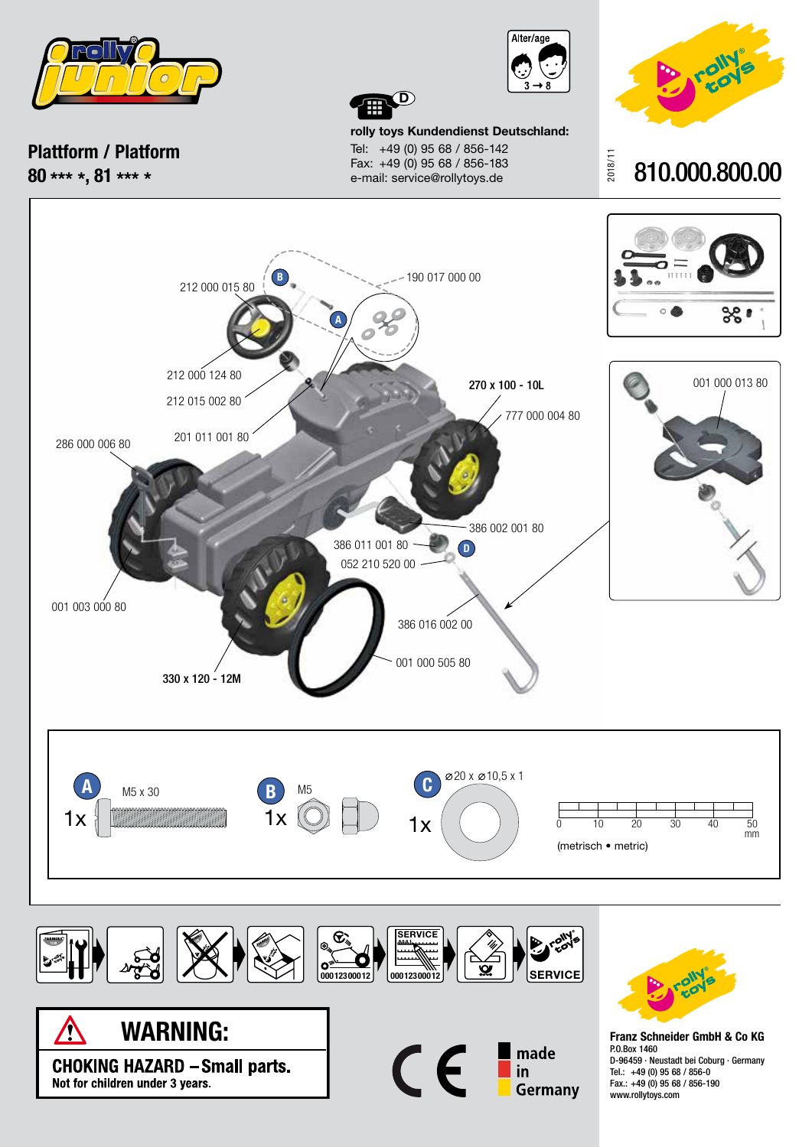

**Plattform / Platform 80 \*\*\* \*, 81 \*\*\* \***





**rolly toys Kundendienst Deutschland:** Tel: +49 (0) 95 68 / 856-142 Fax: +49 (0) 95 68 / 856-183 e-mail: service@rollytoys.de

**D**









**Franz Schneider GmbH & Co KG** P.O.Box 1460 D-96459 · Neustadt bei Coburg · Germany Tel.: +49 (0) 95 68 / 856-0 Fax.: +49 (0) 95 68 / 856-190 www.rollytoys.com